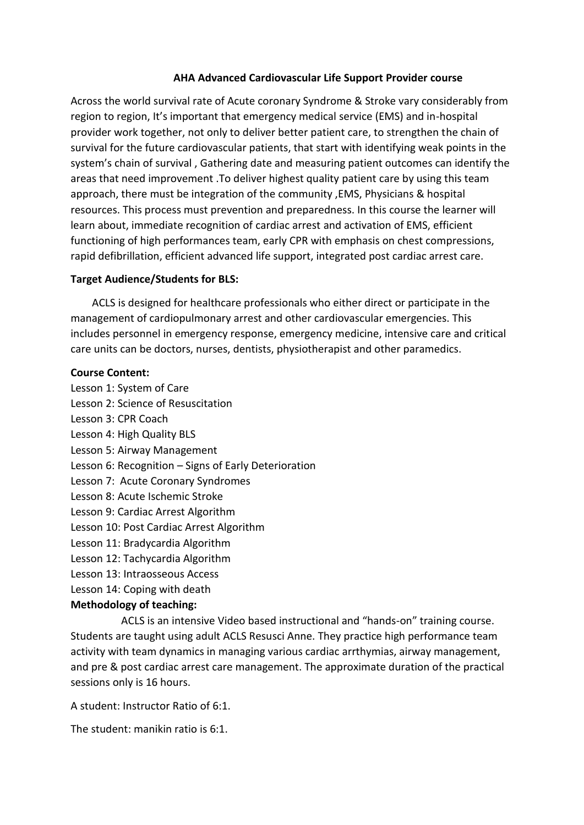### **AHA Advanced Cardiovascular Life Support Provider course**

Across the world survival rate of Acute coronary Syndrome & Stroke vary considerably from region to region, It's important that emergency medical service (EMS) and in-hospital provider work together, not only to deliver better patient care, to strengthen the chain of survival for the future cardiovascular patients, that start with identifying weak points in the system's chain of survival , Gathering date and measuring patient outcomes can identify the areas that need improvement .To deliver highest quality patient care by using this team approach, there must be integration of the community ,EMS, Physicians & hospital resources. This process must prevention and preparedness. In this course the learner will learn about, immediate recognition of cardiac arrest and activation of EMS, efficient functioning of high performances team, early CPR with emphasis on chest compressions, rapid defibrillation, efficient advanced life support, integrated post cardiac arrest care.

## **Target Audience/Students for BLS:**

 ACLS is designed for healthcare professionals who either direct or participate in the management of cardiopulmonary arrest and other cardiovascular emergencies. This includes personnel in emergency response, emergency medicine, intensive care and critical care units can be doctors, nurses, dentists, physiotherapist and other paramedics.

## **Course Content:**

- Lesson 1: System of Care
- Lesson 2: Science of Resuscitation
- Lesson 3: CPR Coach
- Lesson 4: High Quality BLS
- Lesson 5: Airway Management
- Lesson 6: Recognition Signs of Early Deterioration
- Lesson 7: Acute Coronary Syndromes
- Lesson 8: Acute Ischemic Stroke
- Lesson 9: Cardiac Arrest Algorithm
- Lesson 10: Post Cardiac Arrest Algorithm
- Lesson 11: Bradycardia Algorithm
- Lesson 12: Tachycardia Algorithm
- Lesson 13: Intraosseous Access
- Lesson 14: Coping with death

### **Methodology of teaching:**

 ACLS is an intensive Video based instructional and "hands-on" training course. Students are taught using adult ACLS Resusci Anne. They practice high performance team activity with team dynamics in managing various cardiac arrthymias, airway management, and pre & post cardiac arrest care management. The approximate duration of the practical sessions only is 16 hours.

A student: Instructor Ratio of 6:1.

The student: manikin ratio is 6:1.